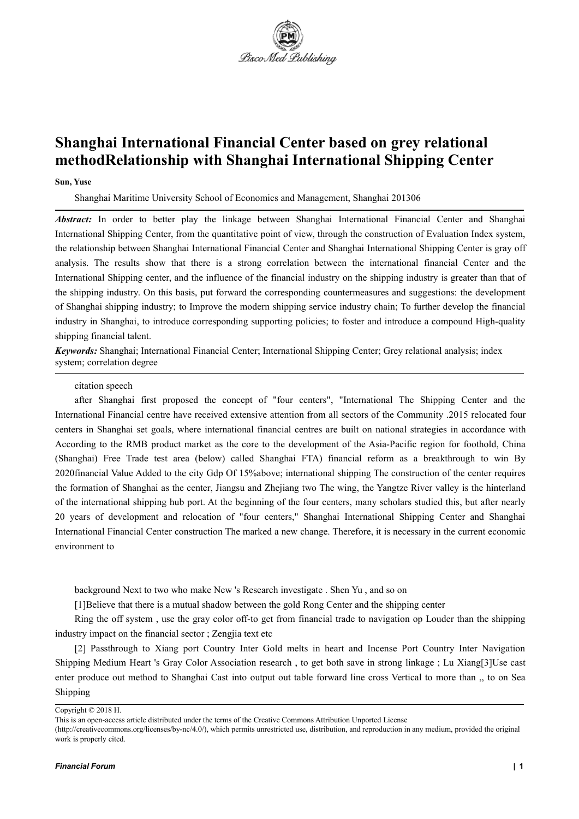

# **Shanghai International Financial Center based on grey relational methodRelationship with Shanghai International Shipping Center**

#### **Sun, Yuse**

Shanghai Maritime University School of Economics and Management, Shanghai 201306

*Abstract:* In order to better play the linkage between Shanghai International Financial Center and Shanghai International Shipping Center, from the quantitative point of view, through the construction of Evaluation Index system, the relationship between Shanghai International Financial Center and Shanghai International Shipping Center is gray off analysis. The results show that there is a strong correlation between the international financial Center and the International Shipping center, and the influence of the financial industry on the shipping industry is greater than that of the shipping industry. On this basis, put forward the corresponding countermeasures and suggestions: the development of Shanghai shipping industry; to Improve the modern shipping service industry chain; To further develop the financial industry in Shanghai, to introduce corresponding supporting policies; to foster and introduce a compound High-quality shipping financial talent.

*Keywords:* Shanghai; International Financial Center; International Shipping Center; Grey relational analysis; index system; correlation degree

#### citation speech

after Shanghai first proposed the concept of "four centers", "International The Shipping Center and the International Financial centre have received extensive attention from all sectors of the Community .2015 relocated four centers in Shanghai set goals, where international financial centres are built on national strategies in accordance with According to the RMB product market as the core to the development of the Asia-Pacific region for foothold, China (Shanghai) Free Trade test area (below) called Shanghai FTA) financial reform as a breakthrough to win By 2020financial Value Added to the city Gdp Of 15%above; international shipping The construction of the center requires the formation of Shanghai as the center, Jiangsu and Zhejiang two The wing, the Yangtze River valley is the hinterland of the international shipping hub port. At the beginning of the four centers, many scholars studied this, but after nearly 20 years of development and relocation of "four centers," Shanghai International Shipping Centerand Shanghai International Financial Center construction The marked a new change. Therefore, it is necessary in the current economic environment to

background Next to two who make New 's Research investigate . Shen Yu , and so on

[1]Believe that there isa mutual shadow between the gold Rong Center and the shipping center

Ring the off system , use the gray color off-to get from financial trade to navigation op Louder than the shipping industry impact on the financial sector ; Zengjia text etc

[2] Passthrough to Xiang port Country Inter Gold melts in heart and Incense Port Country Inter Navigation Shipping Medium Heart 's Gray ColorAssociation research , to get both save in strong linkage ; Lu Xiang[3]Use cast enter produce out method to Shanghai Cast into output out table forward line cross Vertical to more than ,, to on Sea Shipping

(http://creativecommons.org/licenses/by-nc/4.0/), which permits unrestricted use, distribution, and reproduction in any medium, provided the original work is properly cited.

Copyright © 2018 H.

This is an open-access article distributed under the terms of the Creative Commons Attribution Unported License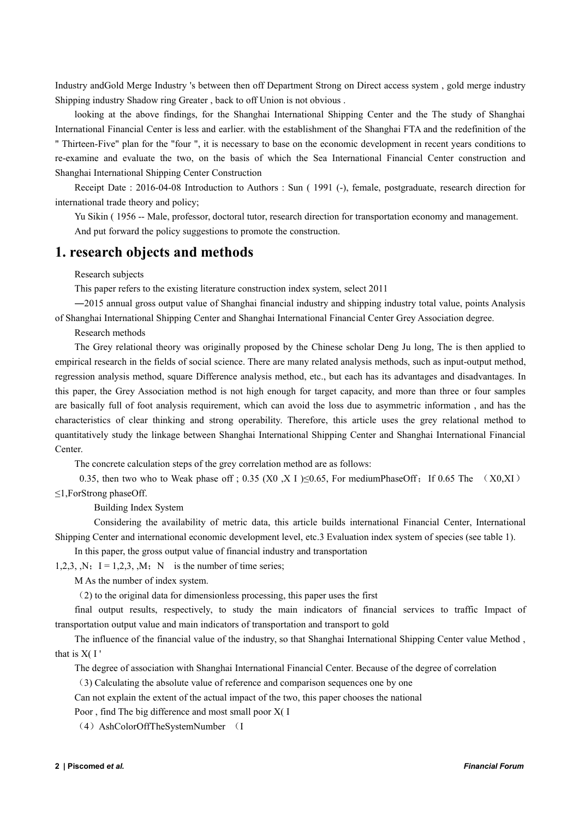Industry andGold Merge Industry 's between then off Department Strong on Direct access system , gold merge industry Shipping industry Shadow ring Greater , back to off Union is not obvious .

looking at the above findings, for the Shanghai International Shipping Center and the The study of Shanghai International Financial Center is less and earlier. with the establishment of the Shanghai FTA and the redefinition of the " Thirteen-Five" plan for the "four ", it is necessary to base on the economic development in recent years conditions to re-examine and evaluate the two, on the basis of which the Sea International Financial Center construction and Shanghai International Shipping Center Construction

Receipt Date : 2016-04-08 Introduction to Authors : Sun ( 1991 (-), female, postgraduate, research direction for international trade theory and policy;

Yu Sikin ( 1956 -- Male, professor, doctoral tutor, research direction for transportation economy and management. And put forward the policy suggestions to promote the construction.

## **1. research objects and methods**

Research subjects

This paper refers to the existing literature construction index system, select 2011

―2015 annual gross output value of Shanghai financial industry and shipping industry total value, points Analysis of Shanghai International Shipping Center and Shanghai International Financial Center Grey Association degree.

Research methods

The Grey relational theory was originally proposed by the Chinese scholar Deng Ju long, The isthen applied to empirical research in the fields of social science. There are many related analysis methods, such as input-output method, regression analysis method, square Difference analysis method, etc., but each has its advantages and disadvantages. In this paper, the Grey Association method is not high enough for target capacity, and more than three or four samples are basically full of foot analysis requirement, which can avoid the loss due to asymmetric information , and has the characteristics of clear thinking and strong operability. Therefore, this article uses the grey relational method to quantitatively study the linkage between Shanghai International Shipping Center and Shanghai International Financial Center.

The concrete calculation steps of the grey correlation method are as follows:

0.35, then two who to Weak phase off ; 0.35 (X0 ,X I )  $\leq$  0.65, For mediumPhaseOff; If 0.65 The (X0,XI) ≤1,ForStrong phaseOff.

Building Index System

Considering the availability of metric data, this article builds international Financial Center, International Shipping Center and international economic development level, etc.3 Evaluation index system of species (see table 1).

In this paper, the gross output value of financial industry and transportation

1,2,3,  $N$ ; I = 1,2,3,  $M$ ; N is the number of time series;

M As the number of index system.

(2) to the original data for dimensionless processing, this paper uses the first

final output results, respectively, to study the main indicators of financial services to traffic Impact of transportation output value and main indicators of transportation and transport to gold

The influence of the financial value of the industry, so that Shanghai International Shipping Center value Method , that is  $X($  I

The degree of association with Shanghai International Financial Center. Because of the degree of correlation

(3) Calculating the absolute value of reference and comparison sequences one by one

Can not explain the extent of the actual impact of the two, this paper chooses the national

Poor , find The big difference and most small poor X( I

(4)AshColorOffTheSystemNumber (I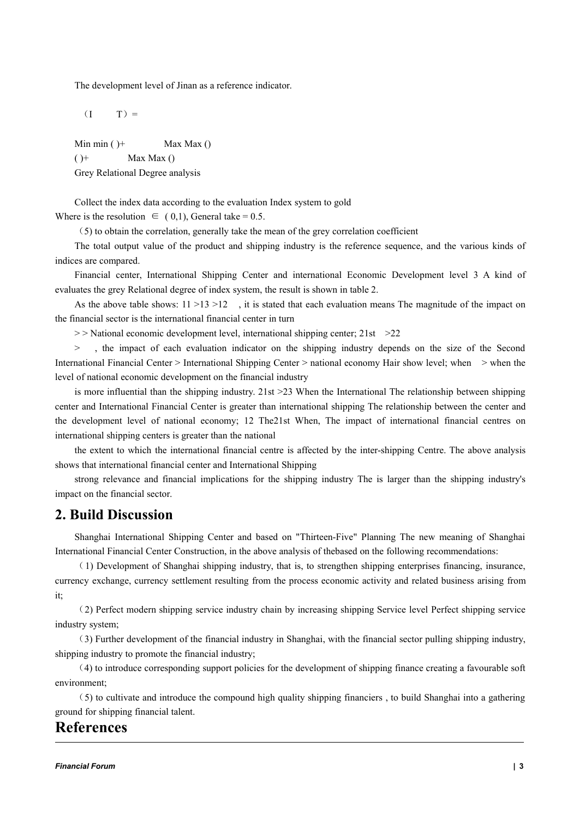The development level of Jinan as a reference indicator.

 $(I \tT)$  =

Min min  $()$  + Max Max  $()$  $()^+$  Max Max  $()$ Grey Relational Degree analysis

Collect the index data according to the evaluation Index system to gold Where is the resolution  $\in (0,1)$ , General take = 0.5.

(5) to obtain the correlation, generally take the mean of the grey correlation coefficient

The total output value of the product and shipping industry is the reference sequence, and the various kinds of indices are compared.

Financial center, International Shipping Center and international Economic Development level 3 A kind of evaluates the grey Relational degree of index system, the result is shown in table 2.

As the above table shows:  $11 > 13 > 12$ , it is stated that each evaluation means The magnitude of the impact on the financial sector is the international financial center in turn

 $>$  National economic development level, international shipping center; 21st  $>$  22

> , the impact of each evaluation indicator on the shipping industry depends on the size of the Second International Financial Center > International Shipping Center > national economy Hair show level; when > when the level of national economic development on the financial industry

is more influential than the shipping industry.  $21st > 23$  When the International The relationship between shipping center and International Financial Center is greater than international shipping The relationship between the center and the development level of national economy; 12 The21st When, The impact of international financial centres on international shipping centers is greater than the national

the extent to which the international financial centre is affected by the inter-shipping Centre. The above analysis shows that international financial center and International Shipping

strong relevance and financial implications for the shipping industry The is larger than the shipping industry's impact on the financial sector.

### **2. Build Discussion**

Shanghai International Shipping Center and based on "Thirteen-Five" Planning The new meaning of Shanghai International Financial Center Construction, in the above analysis ofthebased on the following recommendations:

(1) Development of Shanghai shipping industry, that is, to strengthen shipping enterprises financing, insurance, currency exchange, currency settlement resulting from the process economic activity and related business arising from it;

(2) Perfect modern shipping service industry chain by increasing shipping Service level Perfect shipping service industry system;

(3) Further development of the financial industry in Shanghai, with the financial sector pulling shipping industry, shipping industry to promote the financial industry;

(4) to introduce corresponding support policies for the development of shipping finance creating a favourable soft environment;

(5) to cultivate and introduce the compound high quality shipping financiers ,to build Shanghai into a gathering ground for shipping financial talent.

### **References**